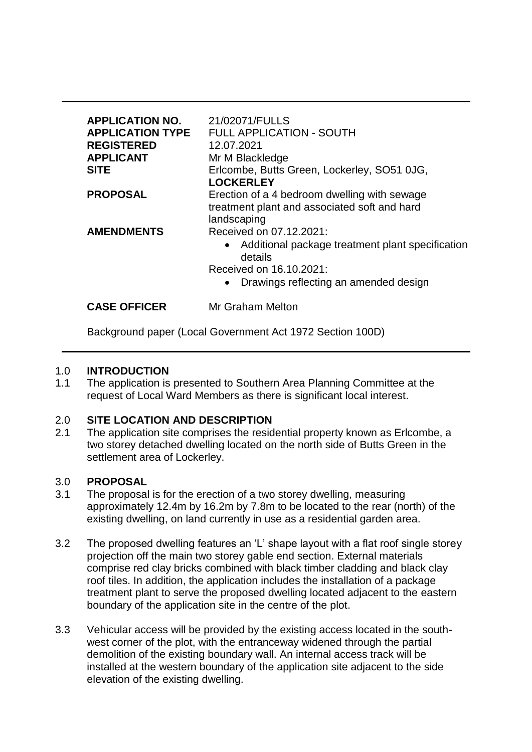| <b>APPLICATION NO.</b><br><b>APPLICATION TYPE</b><br><b>REGISTERED</b><br><b>APPLICANT</b><br><b>SITE</b> | 21/02071/FULLS<br><b>FULL APPLICATION - SOUTH</b><br>12.07.2021<br>Mr M Blackledge<br>Erlcombe, Butts Green, Lockerley, SO51 0JG,<br><b>LOCKERLEY</b>                     |
|-----------------------------------------------------------------------------------------------------------|---------------------------------------------------------------------------------------------------------------------------------------------------------------------------|
| <b>PROPOSAL</b>                                                                                           | Erection of a 4 bedroom dwelling with sewage<br>treatment plant and associated soft and hard<br>landscaping                                                               |
| <b>AMENDMENTS</b>                                                                                         | Received on 07.12.2021:<br>• Additional package treatment plant specification<br>details<br>Received on 16.10.2021:<br>Drawings reflecting an amended design<br>$\bullet$ |
| <b>CASE OFFICER</b>                                                                                       | <b>Mr Graham Melton</b>                                                                                                                                                   |

Background paper (Local Government Act 1972 Section 100D)

## 1.0 **INTRODUCTION**

1.1 The application is presented to Southern Area Planning Committee at the request of Local Ward Members as there is significant local interest.

# 2.0 **SITE LOCATION AND DESCRIPTION**

2.1 The application site comprises the residential property known as Erlcombe, a two storey detached dwelling located on the north side of Butts Green in the settlement area of Lockerley.

## 3.0 **PROPOSAL**

- 3.1 The proposal is for the erection of a two storey dwelling, measuring approximately 12.4m by 16.2m by 7.8m to be located to the rear (north) of the existing dwelling, on land currently in use as a residential garden area.
- 3.2 The proposed dwelling features an 'L' shape layout with a flat roof single storey projection off the main two storey gable end section. External materials comprise red clay bricks combined with black timber cladding and black clay roof tiles. In addition, the application includes the installation of a package treatment plant to serve the proposed dwelling located adjacent to the eastern boundary of the application site in the centre of the plot.
- 3.3 Vehicular access will be provided by the existing access located in the southwest corner of the plot, with the entranceway widened through the partial demolition of the existing boundary wall. An internal access track will be installed at the western boundary of the application site adjacent to the side elevation of the existing dwelling.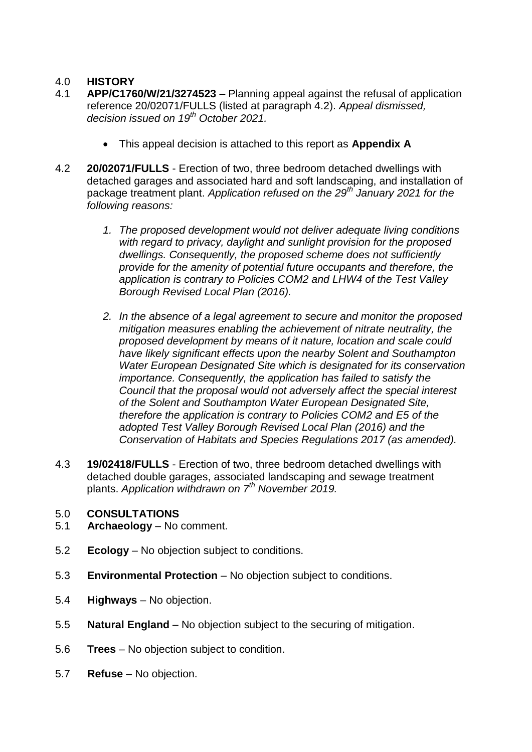# 4.0 **HISTORY**

- 4.1 **APP/C1760/W/21/3274523**  Planning appeal against the refusal of application reference 20/02071/FULLS (listed at paragraph 4.2). *Appeal dismissed, decision issued on 19th October 2021.*
	- This appeal decision is attached to this report as **Appendix A**
- 4.2 **20/02071/FULLS**  Erection of two, three bedroom detached dwellings with detached garages and associated hard and soft landscaping, and installation of package treatment plant. *Application refused on the 29th January 2021 for the following reasons:*
	- *1. The proposed development would not deliver adequate living conditions with regard to privacy, daylight and sunlight provision for the proposed dwellings. Consequently, the proposed scheme does not sufficiently provide for the amenity of potential future occupants and therefore, the application is contrary to Policies COM2 and LHW4 of the Test Valley Borough Revised Local Plan (2016).*
	- *2. In the absence of a legal agreement to secure and monitor the proposed mitigation measures enabling the achievement of nitrate neutrality, the proposed development by means of it nature, location and scale could have likely significant effects upon the nearby Solent and Southampton Water European Designated Site which is designated for its conservation importance. Consequently, the application has failed to satisfy the Council that the proposal would not adversely affect the special interest of the Solent and Southampton Water European Designated Site, therefore the application is contrary to Policies COM2 and E5 of the adopted Test Valley Borough Revised Local Plan (2016) and the Conservation of Habitats and Species Regulations 2017 (as amended).*
- 4.3 **19/02418/FULLS**  Erection of two, three bedroom detached dwellings with detached double garages, associated landscaping and sewage treatment plants. *Application withdrawn on 7th November 2019.*

#### 5.0 **CONSULTATIONS**

- 5.1 **Archaeology**  No comment.
- 5.2 **Ecology**  No objection subject to conditions.
- 5.3 **Environmental Protection**  No objection subject to conditions.
- 5.4 **Highways**  No objection.
- 5.5 **Natural England**  No objection subject to the securing of mitigation.
- 5.6 **Trees**  No objection subject to condition.
- 5.7 **Refuse**  No objection.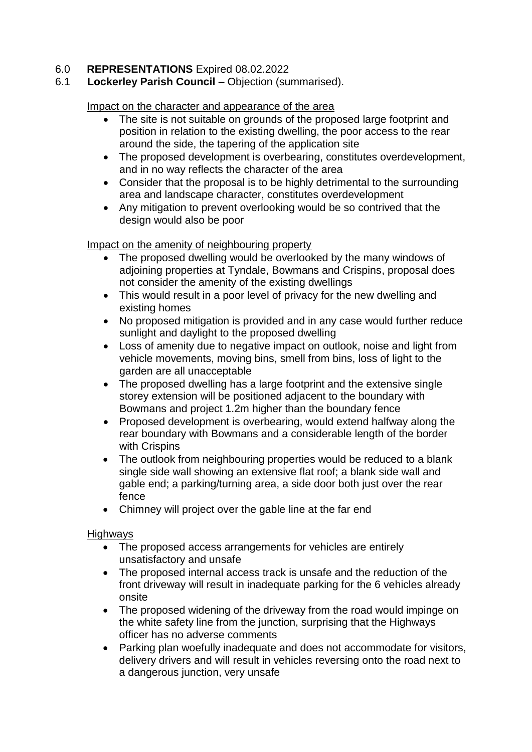## 6.0 **REPRESENTATIONS** Expired 08.02.2022

### 6.1 **Lockerley Parish Council** – Objection (summarised).

#### Impact on the character and appearance of the area

- The site is not suitable on grounds of the proposed large footprint and position in relation to the existing dwelling, the poor access to the rear around the side, the tapering of the application site
- The proposed development is overbearing, constitutes overdevelopment, and in no way reflects the character of the area
- Consider that the proposal is to be highly detrimental to the surrounding area and landscape character, constitutes overdevelopment
- Any mitigation to prevent overlooking would be so contrived that the design would also be poor

#### Impact on the amenity of neighbouring property

- The proposed dwelling would be overlooked by the many windows of adjoining properties at Tyndale, Bowmans and Crispins, proposal does not consider the amenity of the existing dwellings
- This would result in a poor level of privacy for the new dwelling and existing homes
- No proposed mitigation is provided and in any case would further reduce sunlight and daylight to the proposed dwelling
- Loss of amenity due to negative impact on outlook, noise and light from vehicle movements, moving bins, smell from bins, loss of light to the garden are all unacceptable
- The proposed dwelling has a large footprint and the extensive single storey extension will be positioned adjacent to the boundary with Bowmans and project 1.2m higher than the boundary fence
- Proposed development is overbearing, would extend halfway along the rear boundary with Bowmans and a considerable length of the border with Crispins
- The outlook from neighbouring properties would be reduced to a blank single side wall showing an extensive flat roof; a blank side wall and gable end; a parking/turning area, a side door both just over the rear fence
- Chimney will project over the gable line at the far end

#### **Highways**

- The proposed access arrangements for vehicles are entirely unsatisfactory and unsafe
- The proposed internal access track is unsafe and the reduction of the front driveway will result in inadequate parking for the 6 vehicles already onsite
- The proposed widening of the driveway from the road would impinge on the white safety line from the junction, surprising that the Highways officer has no adverse comments
- Parking plan woefully inadequate and does not accommodate for visitors, delivery drivers and will result in vehicles reversing onto the road next to a dangerous junction, very unsafe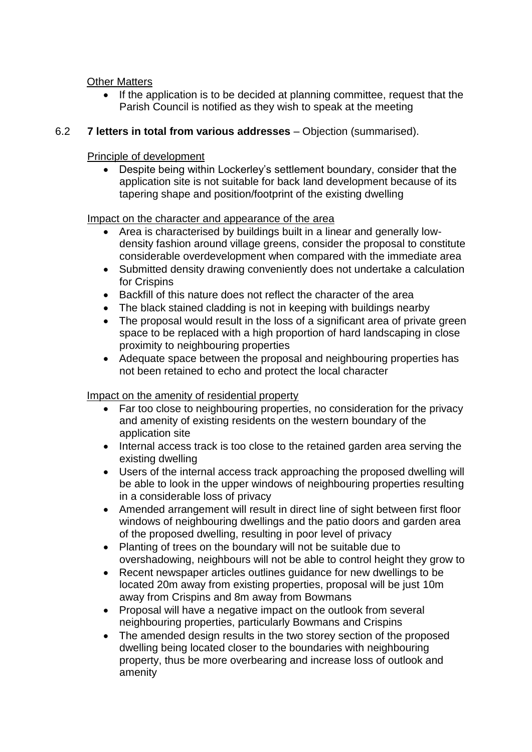## Other Matters

 If the application is to be decided at planning committee, request that the Parish Council is notified as they wish to speak at the meeting

### 6.2 **7 letters in total from various addresses** – Objection (summarised).

### Principle of development

 Despite being within Lockerley's settlement boundary, consider that the application site is not suitable for back land development because of its tapering shape and position/footprint of the existing dwelling

### Impact on the character and appearance of the area

- Area is characterised by buildings built in a linear and generally lowdensity fashion around village greens, consider the proposal to constitute considerable overdevelopment when compared with the immediate area
- Submitted density drawing conveniently does not undertake a calculation for Crispins
- Backfill of this nature does not reflect the character of the area
- The black stained cladding is not in keeping with buildings nearby
- The proposal would result in the loss of a significant area of private green space to be replaced with a high proportion of hard landscaping in close proximity to neighbouring properties
- Adequate space between the proposal and neighbouring properties has not been retained to echo and protect the local character

## Impact on the amenity of residential property

- Far too close to neighbouring properties, no consideration for the privacy and amenity of existing residents on the western boundary of the application site
- Internal access track is too close to the retained garden area serving the existing dwelling
- Users of the internal access track approaching the proposed dwelling will be able to look in the upper windows of neighbouring properties resulting in a considerable loss of privacy
- Amended arrangement will result in direct line of sight between first floor windows of neighbouring dwellings and the patio doors and garden area of the proposed dwelling, resulting in poor level of privacy
- Planting of trees on the boundary will not be suitable due to overshadowing, neighbours will not be able to control height they grow to
- Recent newspaper articles outlines guidance for new dwellings to be located 20m away from existing properties, proposal will be just 10m away from Crispins and 8m away from Bowmans
- Proposal will have a negative impact on the outlook from several neighbouring properties, particularly Bowmans and Crispins
- The amended design results in the two storey section of the proposed dwelling being located closer to the boundaries with neighbouring property, thus be more overbearing and increase loss of outlook and amenity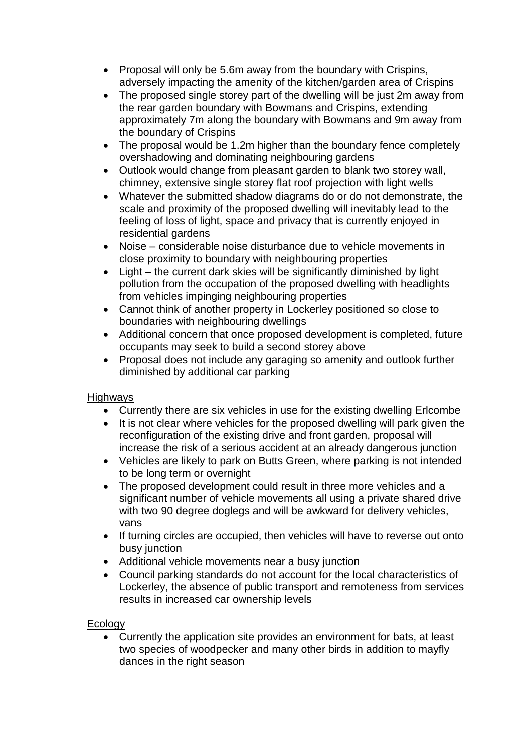- Proposal will only be 5.6m away from the boundary with Crispins, adversely impacting the amenity of the kitchen/garden area of Crispins
- The proposed single storey part of the dwelling will be just 2m away from the rear garden boundary with Bowmans and Crispins, extending approximately 7m along the boundary with Bowmans and 9m away from the boundary of Crispins
- The proposal would be 1.2m higher than the boundary fence completely overshadowing and dominating neighbouring gardens
- Outlook would change from pleasant garden to blank two storey wall, chimney, extensive single storey flat roof projection with light wells
- Whatever the submitted shadow diagrams do or do not demonstrate, the scale and proximity of the proposed dwelling will inevitably lead to the feeling of loss of light, space and privacy that is currently enjoyed in residential gardens
- Noise considerable noise disturbance due to vehicle movements in close proximity to boundary with neighbouring properties
- Light the current dark skies will be significantly diminished by light pollution from the occupation of the proposed dwelling with headlights from vehicles impinging neighbouring properties
- Cannot think of another property in Lockerley positioned so close to boundaries with neighbouring dwellings
- Additional concern that once proposed development is completed, future occupants may seek to build a second storey above
- Proposal does not include any garaging so amenity and outlook further diminished by additional car parking

## **Highways**

- Currently there are six vehicles in use for the existing dwelling Erlcombe
- It is not clear where vehicles for the proposed dwelling will park given the reconfiguration of the existing drive and front garden, proposal will increase the risk of a serious accident at an already dangerous junction
- Vehicles are likely to park on Butts Green, where parking is not intended to be long term or overnight
- The proposed development could result in three more vehicles and a significant number of vehicle movements all using a private shared drive with two 90 degree doglegs and will be awkward for delivery vehicles, vans
- If turning circles are occupied, then vehicles will have to reverse out onto busy junction
- Additional vehicle movements near a busy junction
- Council parking standards do not account for the local characteristics of Lockerley, the absence of public transport and remoteness from services results in increased car ownership levels

## **Ecology**

 Currently the application site provides an environment for bats, at least two species of woodpecker and many other birds in addition to mayfly dances in the right season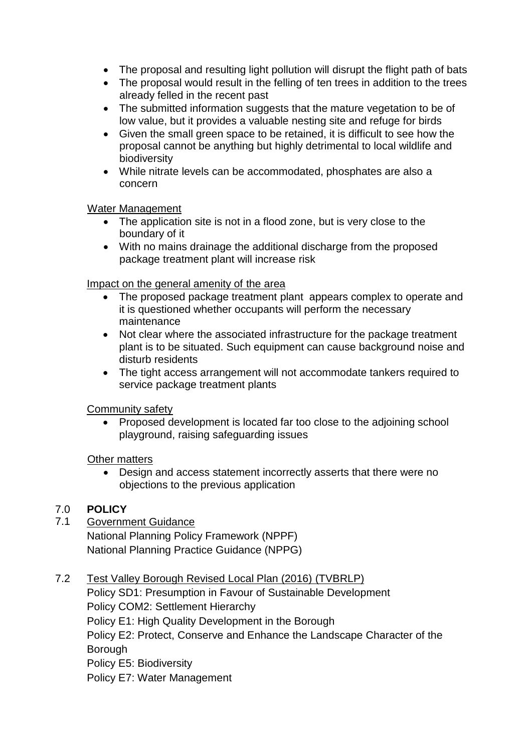- The proposal and resulting light pollution will disrupt the flight path of bats
- The proposal would result in the felling of ten trees in addition to the trees already felled in the recent past
- The submitted information suggests that the mature vegetation to be of low value, but it provides a valuable nesting site and refuge for birds
- Given the small green space to be retained, it is difficult to see how the proposal cannot be anything but highly detrimental to local wildlife and biodiversity
- While nitrate levels can be accommodated, phosphates are also a concern

## Water Management

- The application site is not in a flood zone, but is very close to the boundary of it
- With no mains drainage the additional discharge from the proposed package treatment plant will increase risk

## Impact on the general amenity of the area

- The proposed package treatment plant appears complex to operate and it is questioned whether occupants will perform the necessary maintenance
- Not clear where the associated infrastructure for the package treatment plant is to be situated. Such equipment can cause background noise and disturb residents
- The tight access arrangement will not accommodate tankers required to service package treatment plants

## Community safety

• Proposed development is located far too close to the adjoining school playground, raising safeguarding issues

## Other matters

 Design and access statement incorrectly asserts that there were no objections to the previous application

## 7.0 **POLICY**

## 7.1 Government Guidance

National Planning Policy Framework (NPPF) National Planning Practice Guidance (NPPG)

## 7.2 Test Valley Borough Revised Local Plan (2016) (TVBRLP)

Policy SD1: Presumption in Favour of Sustainable Development Policy COM2: Settlement Hierarchy Policy E1: High Quality Development in the Borough Policy E2: Protect, Conserve and Enhance the Landscape Character of the Borough Policy E5: Biodiversity Policy E7: Water Management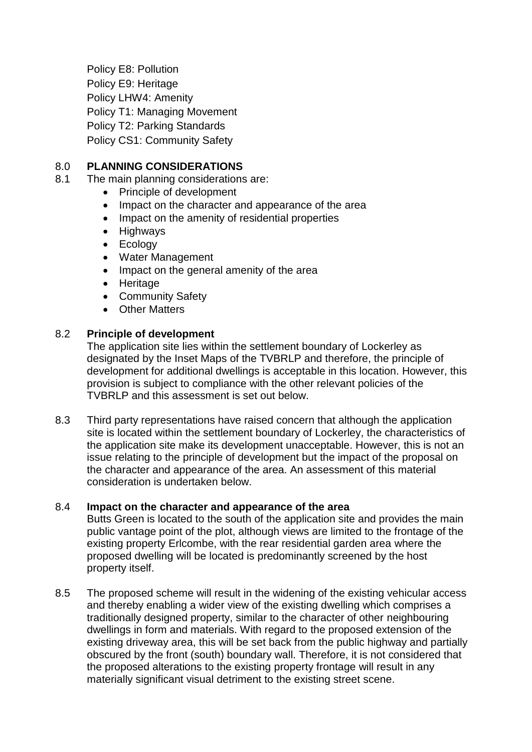Policy E8: Pollution Policy E9: Heritage Policy LHW4: Amenity Policy T1: Managing Movement Policy T2: Parking Standards Policy CS1: Community Safety

## 8.0 **PLANNING CONSIDERATIONS**

- 8.1 The main planning considerations are:
	- Principle of development
	- Impact on the character and appearance of the area
	- Impact on the amenity of residential properties
	- Highways
	- Ecology
	- Water Management
	- Impact on the general amenity of the area
	- Heritage
	- Community Safety
	- Other Matters

### 8.2 **Principle of development**

The application site lies within the settlement boundary of Lockerley as designated by the Inset Maps of the TVBRLP and therefore, the principle of development for additional dwellings is acceptable in this location. However, this provision is subject to compliance with the other relevant policies of the TVBRLP and this assessment is set out below.

8.3 Third party representations have raised concern that although the application site is located within the settlement boundary of Lockerley, the characteristics of the application site make its development unacceptable. However, this is not an issue relating to the principle of development but the impact of the proposal on the character and appearance of the area. An assessment of this material consideration is undertaken below.

#### 8.4 **Impact on the character and appearance of the area**

Butts Green is located to the south of the application site and provides the main public vantage point of the plot, although views are limited to the frontage of the existing property Erlcombe, with the rear residential garden area where the proposed dwelling will be located is predominantly screened by the host property itself.

8.5 The proposed scheme will result in the widening of the existing vehicular access and thereby enabling a wider view of the existing dwelling which comprises a traditionally designed property, similar to the character of other neighbouring dwellings in form and materials. With regard to the proposed extension of the existing driveway area, this will be set back from the public highway and partially obscured by the front (south) boundary wall. Therefore, it is not considered that the proposed alterations to the existing property frontage will result in any materially significant visual detriment to the existing street scene.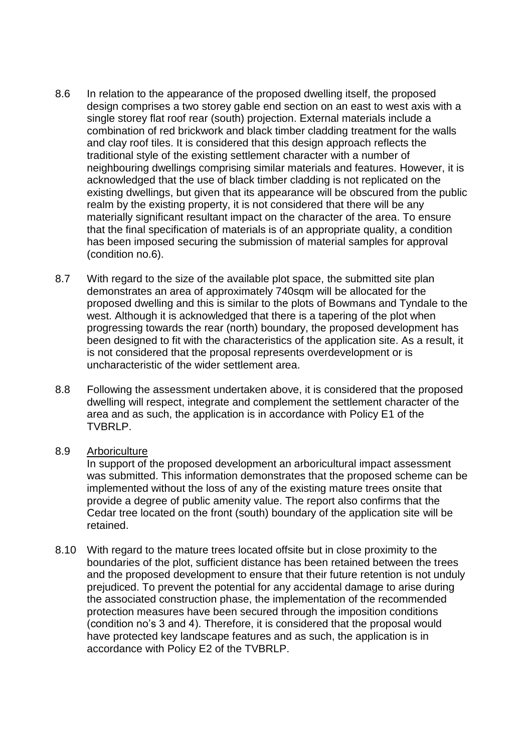- 8.6 In relation to the appearance of the proposed dwelling itself, the proposed design comprises a two storey gable end section on an east to west axis with a single storey flat roof rear (south) projection. External materials include a combination of red brickwork and black timber cladding treatment for the walls and clay roof tiles. It is considered that this design approach reflects the traditional style of the existing settlement character with a number of neighbouring dwellings comprising similar materials and features. However, it is acknowledged that the use of black timber cladding is not replicated on the existing dwellings, but given that its appearance will be obscured from the public realm by the existing property, it is not considered that there will be any materially significant resultant impact on the character of the area. To ensure that the final specification of materials is of an appropriate quality, a condition has been imposed securing the submission of material samples for approval (condition no.6).
- 8.7 With regard to the size of the available plot space, the submitted site plan demonstrates an area of approximately 740sqm will be allocated for the proposed dwelling and this is similar to the plots of Bowmans and Tyndale to the west. Although it is acknowledged that there is a tapering of the plot when progressing towards the rear (north) boundary, the proposed development has been designed to fit with the characteristics of the application site. As a result, it is not considered that the proposal represents overdevelopment or is uncharacteristic of the wider settlement area.
- 8.8 Following the assessment undertaken above, it is considered that the proposed dwelling will respect, integrate and complement the settlement character of the area and as such, the application is in accordance with Policy E1 of the TVBRLP.

#### 8.9 Arboriculture

In support of the proposed development an arboricultural impact assessment was submitted. This information demonstrates that the proposed scheme can be implemented without the loss of any of the existing mature trees onsite that provide a degree of public amenity value. The report also confirms that the Cedar tree located on the front (south) boundary of the application site will be retained.

8.10 With regard to the mature trees located offsite but in close proximity to the boundaries of the plot, sufficient distance has been retained between the trees and the proposed development to ensure that their future retention is not unduly prejudiced. To prevent the potential for any accidental damage to arise during the associated construction phase, the implementation of the recommended protection measures have been secured through the imposition conditions (condition no's 3 and 4). Therefore, it is considered that the proposal would have protected key landscape features and as such, the application is in accordance with Policy E2 of the TVBRLP.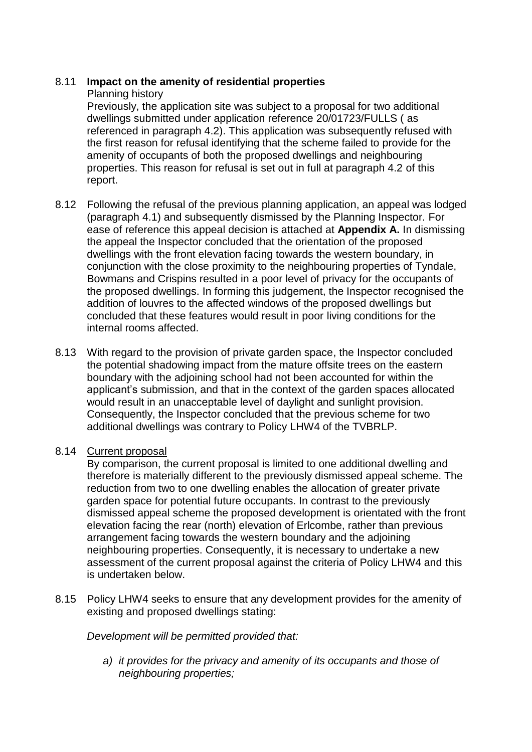## 8.11 **Impact on the amenity of residential properties**

### Planning history

Previously, the application site was subject to a proposal for two additional dwellings submitted under application reference 20/01723/FULLS ( as referenced in paragraph 4.2). This application was subsequently refused with the first reason for refusal identifying that the scheme failed to provide for the amenity of occupants of both the proposed dwellings and neighbouring properties. This reason for refusal is set out in full at paragraph 4.2 of this report.

- 8.12 Following the refusal of the previous planning application, an appeal was lodged (paragraph 4.1) and subsequently dismissed by the Planning Inspector. For ease of reference this appeal decision is attached at **Appendix A.** In dismissing the appeal the Inspector concluded that the orientation of the proposed dwellings with the front elevation facing towards the western boundary, in conjunction with the close proximity to the neighbouring properties of Tyndale, Bowmans and Crispins resulted in a poor level of privacy for the occupants of the proposed dwellings. In forming this judgement, the Inspector recognised the addition of louvres to the affected windows of the proposed dwellings but concluded that these features would result in poor living conditions for the internal rooms affected.
- 8.13 With regard to the provision of private garden space, the Inspector concluded the potential shadowing impact from the mature offsite trees on the eastern boundary with the adjoining school had not been accounted for within the applicant's submission, and that in the context of the garden spaces allocated would result in an unacceptable level of daylight and sunlight provision. Consequently, the Inspector concluded that the previous scheme for two additional dwellings was contrary to Policy LHW4 of the TVBRLP.

#### 8.14 Current proposal

By comparison, the current proposal is limited to one additional dwelling and therefore is materially different to the previously dismissed appeal scheme. The reduction from two to one dwelling enables the allocation of greater private garden space for potential future occupants. In contrast to the previously dismissed appeal scheme the proposed development is orientated with the front elevation facing the rear (north) elevation of Erlcombe, rather than previous arrangement facing towards the western boundary and the adjoining neighbouring properties. Consequently, it is necessary to undertake a new assessment of the current proposal against the criteria of Policy LHW4 and this is undertaken below.

8.15 Policy LHW4 seeks to ensure that any development provides for the amenity of existing and proposed dwellings stating:

*Development will be permitted provided that:*

*a) it provides for the privacy and amenity of its occupants and those of neighbouring properties;*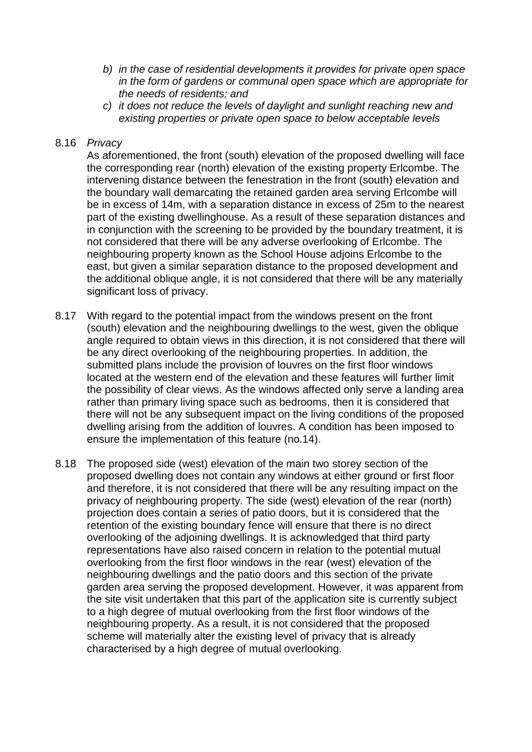- *b) in the case of residential developments it provides for private open space in the form of gardens or communal open space which are appropriate for the needs of residents; and*
- *c) it does not reduce the levels of daylight and sunlight reaching new and existing properties or private open space to below acceptable levels*

#### 8.16 *Privacy*

As aforementioned, the front (south) elevation of the proposed dwelling will face the corresponding rear (north) elevation of the existing property Erlcombe. The intervening distance between the fenestration in the front (south) elevation and the boundary wall demarcating the retained garden area serving Erlcombe will be in excess of 14m, with a separation distance in excess of 25m to the nearest part of the existing dwellinghouse. As a result of these separation distances and in conjunction with the screening to be provided by the boundary treatment, it is not considered that there will be any adverse overlooking of Erlcombe. The neighbouring property known as the School House adjoins Erlcombe to the east, but given a similar separation distance to the proposed development and the additional oblique angle, it is not considered that there will be any materially significant loss of privacy.

- 8.17 With regard to the potential impact from the windows present on the front (south) elevation and the neighbouring dwellings to the west, given the oblique angle required to obtain views in this direction, it is not considered that there will be any direct overlooking of the neighbouring properties. In addition, the submitted plans include the provision of louvres on the first floor windows located at the western end of the elevation and these features will further limit the possibility of clear views. As the windows affected only serve a landing area rather than primary living space such as bedrooms, then it is considered that there will not be any subsequent impact on the living conditions of the proposed dwelling arising from the addition of louvres. A condition has been imposed to ensure the implementation of this feature (no.14).
- 8.18 The proposed side (west) elevation of the main two storey section of the proposed dwelling does not contain any windows at either ground or first floor and therefore, it is not considered that there will be any resulting impact on the privacy of neighbouring property. The side (west) elevation of the rear (north) projection does contain a series of patio doors, but it is considered that the retention of the existing boundary fence will ensure that there is no direct overlooking of the adjoining dwellings. It is acknowledged that third party representations have also raised concern in relation to the potential mutual overlooking from the first floor windows in the rear (west) elevation of the neighbouring dwellings and the patio doors and this section of the private garden area serving the proposed development. However, it was apparent from the site visit undertaken that this part of the application site is currently subject to a high degree of mutual overlooking from the first floor windows of the neighbouring property. As a result, it is not considered that the proposed scheme will materially alter the existing level of privacy that is already characterised by a high degree of mutual overlooking.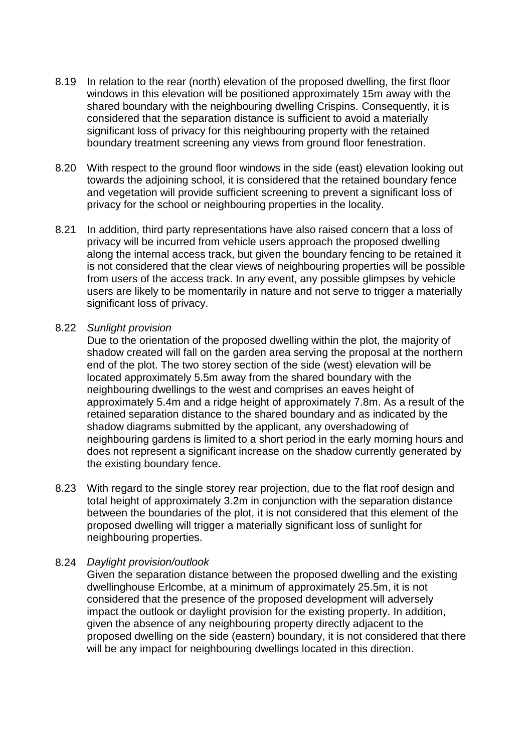- 8.19 In relation to the rear (north) elevation of the proposed dwelling, the first floor windows in this elevation will be positioned approximately 15m away with the shared boundary with the neighbouring dwelling Crispins. Consequently, it is considered that the separation distance is sufficient to avoid a materially significant loss of privacy for this neighbouring property with the retained boundary treatment screening any views from ground floor fenestration.
- 8.20 With respect to the ground floor windows in the side (east) elevation looking out towards the adjoining school, it is considered that the retained boundary fence and vegetation will provide sufficient screening to prevent a significant loss of privacy for the school or neighbouring properties in the locality.
- 8.21 In addition, third party representations have also raised concern that a loss of privacy will be incurred from vehicle users approach the proposed dwelling along the internal access track, but given the boundary fencing to be retained it is not considered that the clear views of neighbouring properties will be possible from users of the access track. In any event, any possible glimpses by vehicle users are likely to be momentarily in nature and not serve to trigger a materially significant loss of privacy.

#### 8.22 *Sunlight provision*

Due to the orientation of the proposed dwelling within the plot, the majority of shadow created will fall on the garden area serving the proposal at the northern end of the plot. The two storey section of the side (west) elevation will be located approximately 5.5m away from the shared boundary with the neighbouring dwellings to the west and comprises an eaves height of approximately 5.4m and a ridge height of approximately 7.8m. As a result of the retained separation distance to the shared boundary and as indicated by the shadow diagrams submitted by the applicant, any overshadowing of neighbouring gardens is limited to a short period in the early morning hours and does not represent a significant increase on the shadow currently generated by the existing boundary fence.

8.23 With regard to the single storey rear projection, due to the flat roof design and total height of approximately 3.2m in conjunction with the separation distance between the boundaries of the plot, it is not considered that this element of the proposed dwelling will trigger a materially significant loss of sunlight for neighbouring properties.

#### 8.24 *Daylight provision/outlook*

Given the separation distance between the proposed dwelling and the existing dwellinghouse Erlcombe, at a minimum of approximately 25.5m, it is not considered that the presence of the proposed development will adversely impact the outlook or daylight provision for the existing property. In addition, given the absence of any neighbouring property directly adjacent to the proposed dwelling on the side (eastern) boundary, it is not considered that there will be any impact for neighbouring dwellings located in this direction.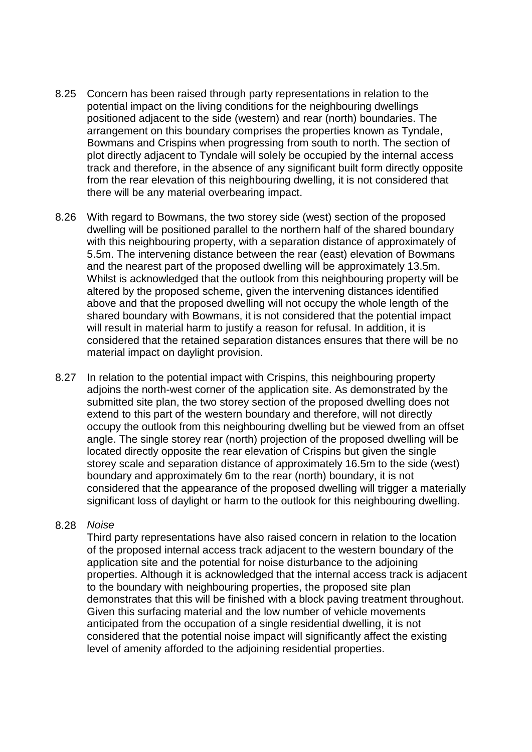- 8.25 Concern has been raised through party representations in relation to the potential impact on the living conditions for the neighbouring dwellings positioned adjacent to the side (western) and rear (north) boundaries. The arrangement on this boundary comprises the properties known as Tyndale, Bowmans and Crispins when progressing from south to north. The section of plot directly adjacent to Tyndale will solely be occupied by the internal access track and therefore, in the absence of any significant built form directly opposite from the rear elevation of this neighbouring dwelling, it is not considered that there will be any material overbearing impact.
- 8.26 With regard to Bowmans, the two storey side (west) section of the proposed dwelling will be positioned parallel to the northern half of the shared boundary with this neighbouring property, with a separation distance of approximately of 5.5m. The intervening distance between the rear (east) elevation of Bowmans and the nearest part of the proposed dwelling will be approximately 13.5m. Whilst is acknowledged that the outlook from this neighbouring property will be altered by the proposed scheme, given the intervening distances identified above and that the proposed dwelling will not occupy the whole length of the shared boundary with Bowmans, it is not considered that the potential impact will result in material harm to justify a reason for refusal. In addition, it is considered that the retained separation distances ensures that there will be no material impact on daylight provision.
- 8.27 In relation to the potential impact with Crispins, this neighbouring property adjoins the north-west corner of the application site. As demonstrated by the submitted site plan, the two storey section of the proposed dwelling does not extend to this part of the western boundary and therefore, will not directly occupy the outlook from this neighbouring dwelling but be viewed from an offset angle. The single storey rear (north) projection of the proposed dwelling will be located directly opposite the rear elevation of Crispins but given the single storey scale and separation distance of approximately 16.5m to the side (west) boundary and approximately 6m to the rear (north) boundary, it is not considered that the appearance of the proposed dwelling will trigger a materially significant loss of daylight or harm to the outlook for this neighbouring dwelling.

#### 8.28 *Noise*

Third party representations have also raised concern in relation to the location of the proposed internal access track adjacent to the western boundary of the application site and the potential for noise disturbance to the adjoining properties. Although it is acknowledged that the internal access track is adjacent to the boundary with neighbouring properties, the proposed site plan demonstrates that this will be finished with a block paving treatment throughout. Given this surfacing material and the low number of vehicle movements anticipated from the occupation of a single residential dwelling, it is not considered that the potential noise impact will significantly affect the existing level of amenity afforded to the adjoining residential properties.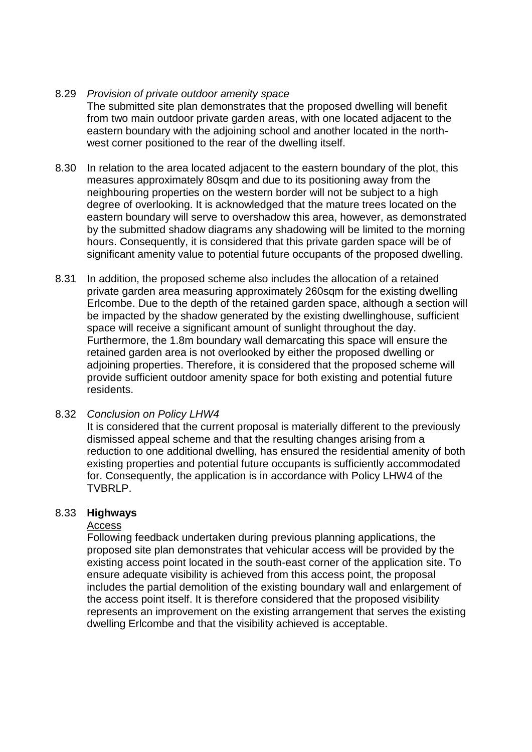#### 8.29 *Provision of private outdoor amenity space*

The submitted site plan demonstrates that the proposed dwelling will benefit from two main outdoor private garden areas, with one located adjacent to the eastern boundary with the adjoining school and another located in the northwest corner positioned to the rear of the dwelling itself.

- 8.30 In relation to the area located adjacent to the eastern boundary of the plot, this measures approximately 80sqm and due to its positioning away from the neighbouring properties on the western border will not be subject to a high degree of overlooking. It is acknowledged that the mature trees located on the eastern boundary will serve to overshadow this area, however, as demonstrated by the submitted shadow diagrams any shadowing will be limited to the morning hours. Consequently, it is considered that this private garden space will be of significant amenity value to potential future occupants of the proposed dwelling.
- 8.31 In addition, the proposed scheme also includes the allocation of a retained private garden area measuring approximately 260sqm for the existing dwelling Erlcombe. Due to the depth of the retained garden space, although a section will be impacted by the shadow generated by the existing dwellinghouse, sufficient space will receive a significant amount of sunlight throughout the day. Furthermore, the 1.8m boundary wall demarcating this space will ensure the retained garden area is not overlooked by either the proposed dwelling or adjoining properties. Therefore, it is considered that the proposed scheme will provide sufficient outdoor amenity space for both existing and potential future residents.

#### 8.32 *Conclusion on Policy LHW4*

It is considered that the current proposal is materially different to the previously dismissed appeal scheme and that the resulting changes arising from a reduction to one additional dwelling, has ensured the residential amenity of both existing properties and potential future occupants is sufficiently accommodated for. Consequently, the application is in accordance with Policy LHW4 of the TVBRLP.

#### 8.33 **Highways**

#### Access

Following feedback undertaken during previous planning applications, the proposed site plan demonstrates that vehicular access will be provided by the existing access point located in the south-east corner of the application site. To ensure adequate visibility is achieved from this access point, the proposal includes the partial demolition of the existing boundary wall and enlargement of the access point itself. It is therefore considered that the proposed visibility represents an improvement on the existing arrangement that serves the existing dwelling Erlcombe and that the visibility achieved is acceptable.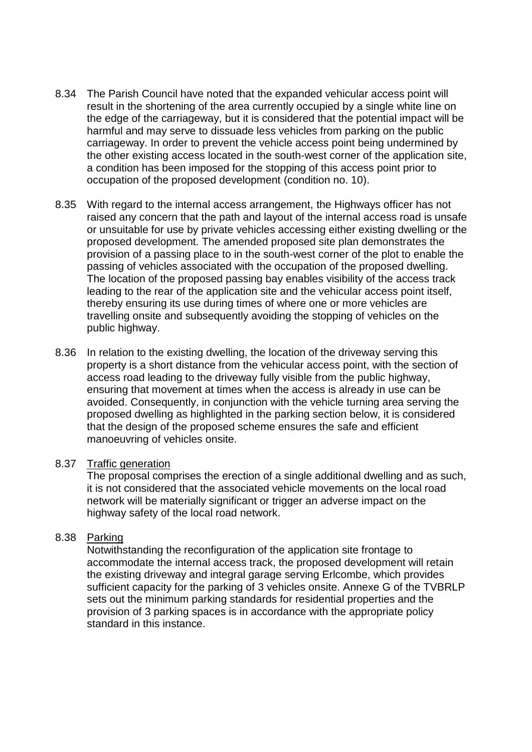- 8.34 The Parish Council have noted that the expanded vehicular access point will result in the shortening of the area currently occupied by a single white line on the edge of the carriageway, but it is considered that the potential impact will be harmful and may serve to dissuade less vehicles from parking on the public carriageway. In order to prevent the vehicle access point being undermined by the other existing access located in the south-west corner of the application site, a condition has been imposed for the stopping of this access point prior to occupation of the proposed development (condition no. 10).
- 8.35 With regard to the internal access arrangement, the Highways officer has not raised any concern that the path and layout of the internal access road is unsafe or unsuitable for use by private vehicles accessing either existing dwelling or the proposed development. The amended proposed site plan demonstrates the provision of a passing place to in the south-west corner of the plot to enable the passing of vehicles associated with the occupation of the proposed dwelling. The location of the proposed passing bay enables visibility of the access track leading to the rear of the application site and the vehicular access point itself, thereby ensuring its use during times of where one or more vehicles are travelling onsite and subsequently avoiding the stopping of vehicles on the public highway.
- 8.36 In relation to the existing dwelling, the location of the driveway serving this property is a short distance from the vehicular access point, with the section of access road leading to the driveway fully visible from the public highway, ensuring that movement at times when the access is already in use can be avoided. Consequently, in conjunction with the vehicle turning area serving the proposed dwelling as highlighted in the parking section below, it is considered that the design of the proposed scheme ensures the safe and efficient manoeuvring of vehicles onsite.

#### 8.37 Traffic generation

The proposal comprises the erection of a single additional dwelling and as such, it is not considered that the associated vehicle movements on the local road network will be materially significant or trigger an adverse impact on the highway safety of the local road network.

#### 8.38 Parking

Notwithstanding the reconfiguration of the application site frontage to accommodate the internal access track, the proposed development will retain the existing driveway and integral garage serving Erlcombe, which provides sufficient capacity for the parking of 3 vehicles onsite. Annexe G of the TVBRLP sets out the minimum parking standards for residential properties and the provision of 3 parking spaces is in accordance with the appropriate policy standard in this instance.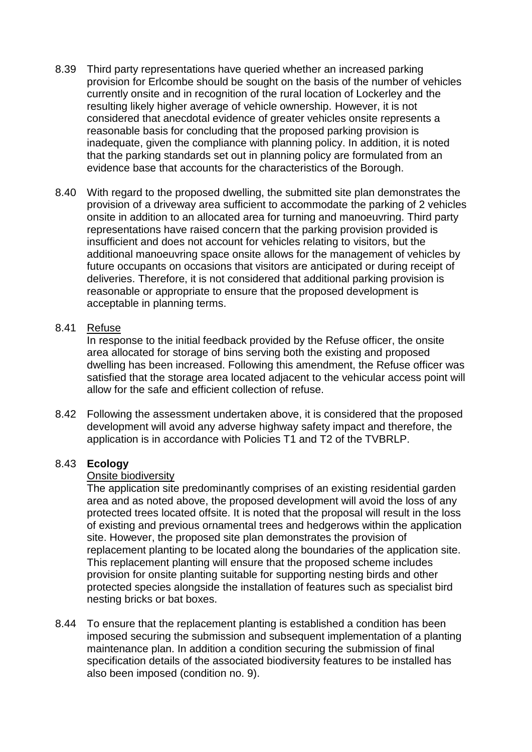- 8.39 Third party representations have queried whether an increased parking provision for Erlcombe should be sought on the basis of the number of vehicles currently onsite and in recognition of the rural location of Lockerley and the resulting likely higher average of vehicle ownership. However, it is not considered that anecdotal evidence of greater vehicles onsite represents a reasonable basis for concluding that the proposed parking provision is inadequate, given the compliance with planning policy. In addition, it is noted that the parking standards set out in planning policy are formulated from an evidence base that accounts for the characteristics of the Borough.
- 8.40 With regard to the proposed dwelling, the submitted site plan demonstrates the provision of a driveway area sufficient to accommodate the parking of 2 vehicles onsite in addition to an allocated area for turning and manoeuvring. Third party representations have raised concern that the parking provision provided is insufficient and does not account for vehicles relating to visitors, but the additional manoeuvring space onsite allows for the management of vehicles by future occupants on occasions that visitors are anticipated or during receipt of deliveries. Therefore, it is not considered that additional parking provision is reasonable or appropriate to ensure that the proposed development is acceptable in planning terms.

#### 8.41 Refuse

In response to the initial feedback provided by the Refuse officer, the onsite area allocated for storage of bins serving both the existing and proposed dwelling has been increased. Following this amendment, the Refuse officer was satisfied that the storage area located adjacent to the vehicular access point will allow for the safe and efficient collection of refuse.

8.42 Following the assessment undertaken above, it is considered that the proposed development will avoid any adverse highway safety impact and therefore, the application is in accordance with Policies T1 and T2 of the TVBRLP.

#### 8.43 **Ecology**

### Onsite biodiversity

The application site predominantly comprises of an existing residential garden area and as noted above, the proposed development will avoid the loss of any protected trees located offsite. It is noted that the proposal will result in the loss of existing and previous ornamental trees and hedgerows within the application site. However, the proposed site plan demonstrates the provision of replacement planting to be located along the boundaries of the application site. This replacement planting will ensure that the proposed scheme includes provision for onsite planting suitable for supporting nesting birds and other protected species alongside the installation of features such as specialist bird nesting bricks or bat boxes.

8.44 To ensure that the replacement planting is established a condition has been imposed securing the submission and subsequent implementation of a planting maintenance plan. In addition a condition securing the submission of final specification details of the associated biodiversity features to be installed has also been imposed (condition no. 9).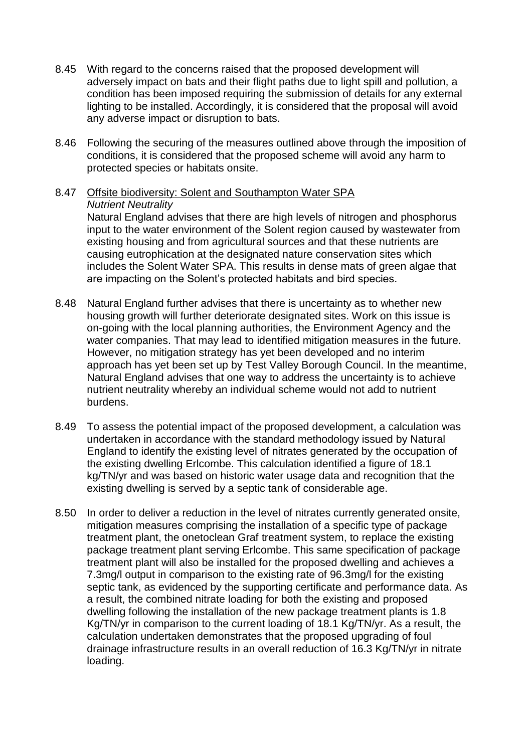- 8.45 With regard to the concerns raised that the proposed development will adversely impact on bats and their flight paths due to light spill and pollution, a condition has been imposed requiring the submission of details for any external lighting to be installed. Accordingly, it is considered that the proposal will avoid any adverse impact or disruption to bats.
- 8.46 Following the securing of the measures outlined above through the imposition of conditions, it is considered that the proposed scheme will avoid any harm to protected species or habitats onsite.
- 8.47 Offsite biodiversity: Solent and Southampton Water SPA *Nutrient Neutrality*

Natural England advises that there are high levels of nitrogen and phosphorus input to the water environment of the Solent region caused by wastewater from existing housing and from agricultural sources and that these nutrients are causing eutrophication at the designated nature conservation sites which includes the Solent Water SPA. This results in dense mats of green algae that are impacting on the Solent's protected habitats and bird species.

- 8.48 Natural England further advises that there is uncertainty as to whether new housing growth will further deteriorate designated sites. Work on this issue is on-going with the local planning authorities, the Environment Agency and the water companies. That may lead to identified mitigation measures in the future. However, no mitigation strategy has yet been developed and no interim approach has yet been set up by Test Valley Borough Council. In the meantime, Natural England advises that one way to address the uncertainty is to achieve nutrient neutrality whereby an individual scheme would not add to nutrient burdens.
- 8.49 To assess the potential impact of the proposed development, a calculation was undertaken in accordance with the standard methodology issued by Natural England to identify the existing level of nitrates generated by the occupation of the existing dwelling Erlcombe. This calculation identified a figure of 18.1 kg/TN/yr and was based on historic water usage data and recognition that the existing dwelling is served by a septic tank of considerable age.
- 8.50 In order to deliver a reduction in the level of nitrates currently generated onsite, mitigation measures comprising the installation of a specific type of package treatment plant, the onetoclean Graf treatment system, to replace the existing package treatment plant serving Erlcombe. This same specification of package treatment plant will also be installed for the proposed dwelling and achieves a 7.3mg/l output in comparison to the existing rate of 96.3mg/l for the existing septic tank, as evidenced by the supporting certificate and performance data. As a result, the combined nitrate loading for both the existing and proposed dwelling following the installation of the new package treatment plants is 1.8 Kg/TN/yr in comparison to the current loading of 18.1 Kg/TN/yr. As a result, the calculation undertaken demonstrates that the proposed upgrading of foul drainage infrastructure results in an overall reduction of 16.3 Kg/TN/yr in nitrate loading.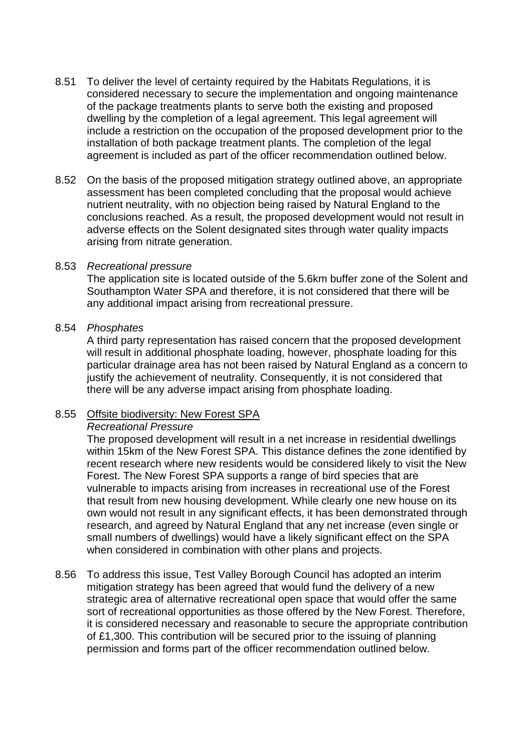- 8.51 To deliver the level of certainty required by the Habitats Regulations, it is considered necessary to secure the implementation and ongoing maintenance of the package treatments plants to serve both the existing and proposed dwelling by the completion of a legal agreement. This legal agreement will include a restriction on the occupation of the proposed development prior to the installation of both package treatment plants. The completion of the legal agreement is included as part of the officer recommendation outlined below.
- 8.52 On the basis of the proposed mitigation strategy outlined above, an appropriate assessment has been completed concluding that the proposal would achieve nutrient neutrality, with no objection being raised by Natural England to the conclusions reached. As a result, the proposed development would not result in adverse effects on the Solent designated sites through water quality impacts arising from nitrate generation.

#### 8.53 *Recreational pressure*

The application site is located outside of the 5.6km buffer zone of the Solent and Southampton Water SPA and therefore, it is not considered that there will be any additional impact arising from recreational pressure.

#### 8.54 *Phosphates*

A third party representation has raised concern that the proposed development will result in additional phosphate loading, however, phosphate loading for this particular drainage area has not been raised by Natural England as a concern to justify the achievement of neutrality. Consequently, it is not considered that there will be any adverse impact arising from phosphate loading.

#### 8.55 Offsite biodiversity: New Forest SPA

#### *Recreational Pressure*

The proposed development will result in a net increase in residential dwellings within 15km of the New Forest SPA. This distance defines the zone identified by recent research where new residents would be considered likely to visit the New Forest. The New Forest SPA supports a range of bird species that are vulnerable to impacts arising from increases in recreational use of the Forest that result from new housing development. While clearly one new house on its own would not result in any significant effects, it has been demonstrated through research, and agreed by Natural England that any net increase (even single or small numbers of dwellings) would have a likely significant effect on the SPA when considered in combination with other plans and projects.

8.56 To address this issue, Test Valley Borough Council has adopted an interim mitigation strategy has been agreed that would fund the delivery of a new strategic area of alternative recreational open space that would offer the same sort of recreational opportunities as those offered by the New Forest. Therefore, it is considered necessary and reasonable to secure the appropriate contribution of £1,300. This contribution will be secured prior to the issuing of planning permission and forms part of the officer recommendation outlined below.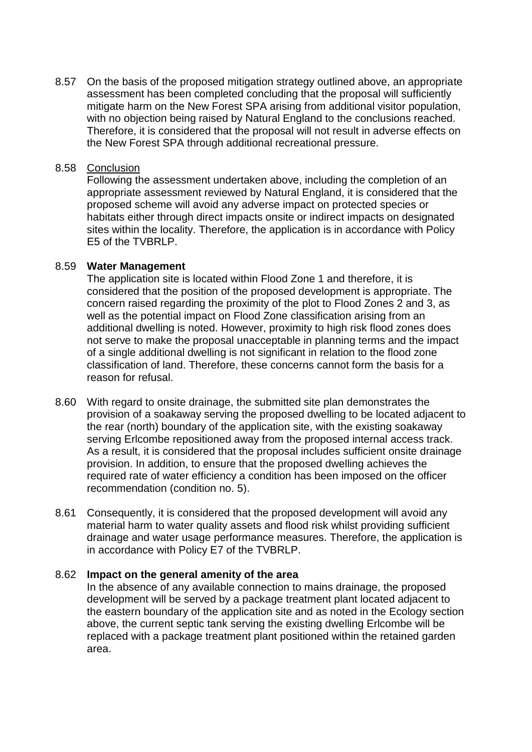8.57 On the basis of the proposed mitigation strategy outlined above, an appropriate assessment has been completed concluding that the proposal will sufficiently mitigate harm on the New Forest SPA arising from additional visitor population, with no objection being raised by Natural England to the conclusions reached. Therefore, it is considered that the proposal will not result in adverse effects on the New Forest SPA through additional recreational pressure.

### 8.58 Conclusion

Following the assessment undertaken above, including the completion of an appropriate assessment reviewed by Natural England, it is considered that the proposed scheme will avoid any adverse impact on protected species or habitats either through direct impacts onsite or indirect impacts on designated sites within the locality. Therefore, the application is in accordance with Policy E5 of the TVBRLP.

#### 8.59 **Water Management**

The application site is located within Flood Zone 1 and therefore, it is considered that the position of the proposed development is appropriate. The concern raised regarding the proximity of the plot to Flood Zones 2 and 3, as well as the potential impact on Flood Zone classification arising from an additional dwelling is noted. However, proximity to high risk flood zones does not serve to make the proposal unacceptable in planning terms and the impact of a single additional dwelling is not significant in relation to the flood zone classification of land. Therefore, these concerns cannot form the basis for a reason for refusal.

- 8.60 With regard to onsite drainage, the submitted site plan demonstrates the provision of a soakaway serving the proposed dwelling to be located adjacent to the rear (north) boundary of the application site, with the existing soakaway serving Erlcombe repositioned away from the proposed internal access track. As a result, it is considered that the proposal includes sufficient onsite drainage provision. In addition, to ensure that the proposed dwelling achieves the required rate of water efficiency a condition has been imposed on the officer recommendation (condition no. 5).
- 8.61 Consequently, it is considered that the proposed development will avoid any material harm to water quality assets and flood risk whilst providing sufficient drainage and water usage performance measures. Therefore, the application is in accordance with Policy E7 of the TVBRLP.

#### 8.62 **Impact on the general amenity of the area**

In the absence of any available connection to mains drainage, the proposed development will be served by a package treatment plant located adjacent to the eastern boundary of the application site and as noted in the Ecology section above, the current septic tank serving the existing dwelling Erlcombe will be replaced with a package treatment plant positioned within the retained garden area.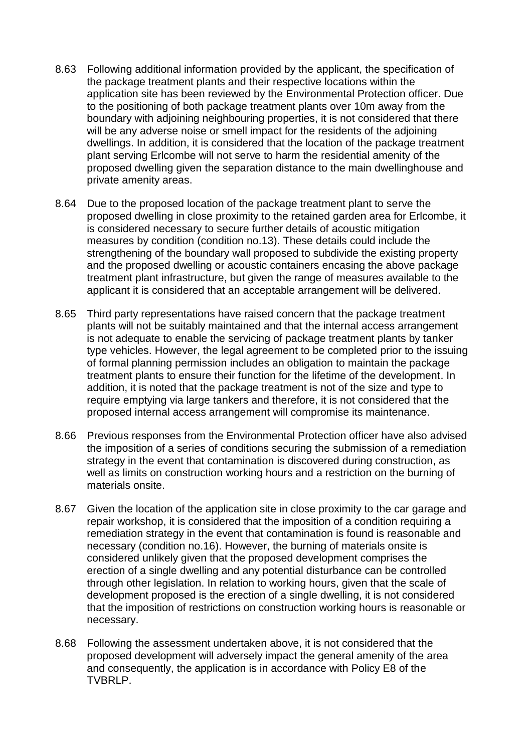- 8.63 Following additional information provided by the applicant, the specification of the package treatment plants and their respective locations within the application site has been reviewed by the Environmental Protection officer. Due to the positioning of both package treatment plants over 10m away from the boundary with adjoining neighbouring properties, it is not considered that there will be any adverse noise or smell impact for the residents of the adjoining dwellings. In addition, it is considered that the location of the package treatment plant serving Erlcombe will not serve to harm the residential amenity of the proposed dwelling given the separation distance to the main dwellinghouse and private amenity areas.
- 8.64 Due to the proposed location of the package treatment plant to serve the proposed dwelling in close proximity to the retained garden area for Erlcombe, it is considered necessary to secure further details of acoustic mitigation measures by condition (condition no.13). These details could include the strengthening of the boundary wall proposed to subdivide the existing property and the proposed dwelling or acoustic containers encasing the above package treatment plant infrastructure, but given the range of measures available to the applicant it is considered that an acceptable arrangement will be delivered.
- 8.65 Third party representations have raised concern that the package treatment plants will not be suitably maintained and that the internal access arrangement is not adequate to enable the servicing of package treatment plants by tanker type vehicles. However, the legal agreement to be completed prior to the issuing of formal planning permission includes an obligation to maintain the package treatment plants to ensure their function for the lifetime of the development. In addition, it is noted that the package treatment is not of the size and type to require emptying via large tankers and therefore, it is not considered that the proposed internal access arrangement will compromise its maintenance.
- 8.66 Previous responses from the Environmental Protection officer have also advised the imposition of a series of conditions securing the submission of a remediation strategy in the event that contamination is discovered during construction, as well as limits on construction working hours and a restriction on the burning of materials onsite.
- 8.67 Given the location of the application site in close proximity to the car garage and repair workshop, it is considered that the imposition of a condition requiring a remediation strategy in the event that contamination is found is reasonable and necessary (condition no.16). However, the burning of materials onsite is considered unlikely given that the proposed development comprises the erection of a single dwelling and any potential disturbance can be controlled through other legislation. In relation to working hours, given that the scale of development proposed is the erection of a single dwelling, it is not considered that the imposition of restrictions on construction working hours is reasonable or necessary.
- 8.68 Following the assessment undertaken above, it is not considered that the proposed development will adversely impact the general amenity of the area and consequently, the application is in accordance with Policy E8 of the TVBRLP.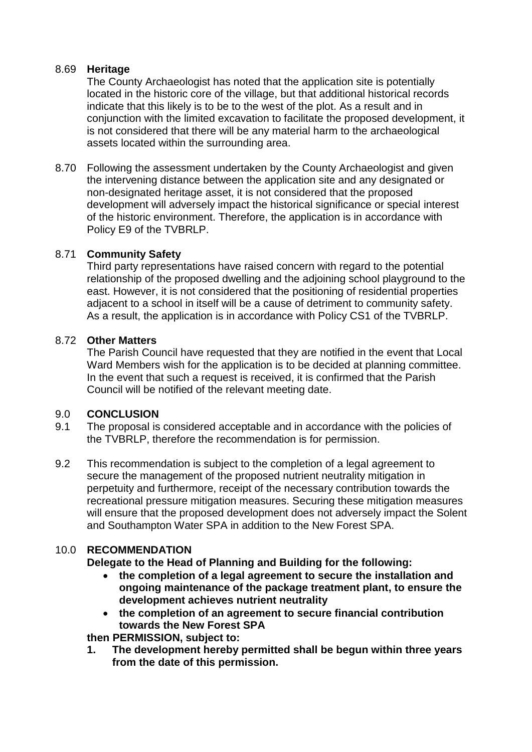### 8.69 **Heritage**

The County Archaeologist has noted that the application site is potentially located in the historic core of the village, but that additional historical records indicate that this likely is to be to the west of the plot. As a result and in conjunction with the limited excavation to facilitate the proposed development, it is not considered that there will be any material harm to the archaeological assets located within the surrounding area.

8.70 Following the assessment undertaken by the County Archaeologist and given the intervening distance between the application site and any designated or non-designated heritage asset, it is not considered that the proposed development will adversely impact the historical significance or special interest of the historic environment. Therefore, the application is in accordance with Policy E9 of the TVBRLP.

## 8.71 **Community Safety**

Third party representations have raised concern with regard to the potential relationship of the proposed dwelling and the adjoining school playground to the east. However, it is not considered that the positioning of residential properties adjacent to a school in itself will be a cause of detriment to community safety. As a result, the application is in accordance with Policy CS1 of the TVBRLP.

#### 8.72 **Other Matters**

The Parish Council have requested that they are notified in the event that Local Ward Members wish for the application is to be decided at planning committee. In the event that such a request is received, it is confirmed that the Parish Council will be notified of the relevant meeting date.

## 9.0 **CONCLUSION**

- 9.1 The proposal is considered acceptable and in accordance with the policies of the TVBRLP, therefore the recommendation is for permission.
- 9.2 This recommendation is subject to the completion of a legal agreement to secure the management of the proposed nutrient neutrality mitigation in perpetuity and furthermore, receipt of the necessary contribution towards the recreational pressure mitigation measures. Securing these mitigation measures will ensure that the proposed development does not adversely impact the Solent and Southampton Water SPA in addition to the New Forest SPA.

## 10.0 **RECOMMENDATION**

**Delegate to the Head of Planning and Building for the following:**

- **the completion of a legal agreement to secure the installation and ongoing maintenance of the package treatment plant, to ensure the development achieves nutrient neutrality**
- **the completion of an agreement to secure financial contribution towards the New Forest SPA**

**then PERMISSION, subject to:**

**1. The development hereby permitted shall be begun within three years from the date of this permission.**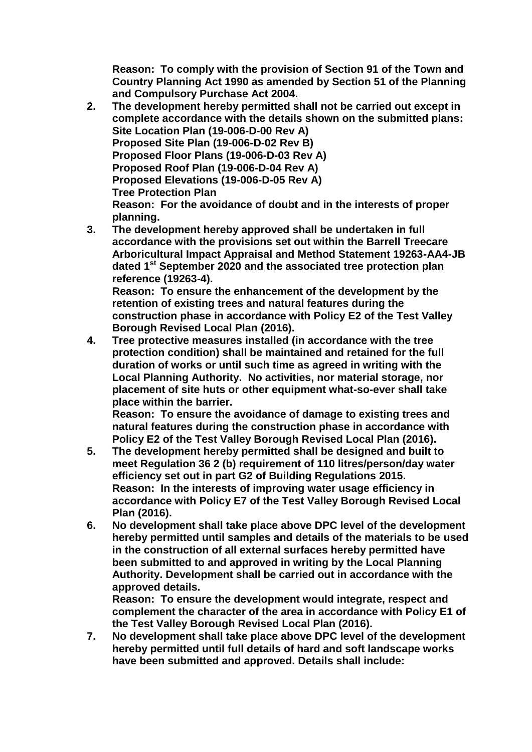**Reason: To comply with the provision of Section 91 of the Town and Country Planning Act 1990 as amended by Section 51 of the Planning and Compulsory Purchase Act 2004.**

- **2. The development hereby permitted shall not be carried out except in complete accordance with the details shown on the submitted plans: Site Location Plan (19-006-D-00 Rev A) Proposed Site Plan (19-006-D-02 Rev B) Proposed Floor Plans (19-006-D-03 Rev A) Proposed Roof Plan (19-006-D-04 Rev A) Proposed Elevations (19-006-D-05 Rev A) Tree Protection Plan Reason: For the avoidance of doubt and in the interests of proper planning.**
- **3. The development hereby approved shall be undertaken in full accordance with the provisions set out within the Barrell Treecare Arboricultural Impact Appraisal and Method Statement 19263-AA4-JB dated 1st September 2020 and the associated tree protection plan reference (19263-4). Reason: To ensure the enhancement of the development by the**

**retention of existing trees and natural features during the construction phase in accordance with Policy E2 of the Test Valley Borough Revised Local Plan (2016).**

**4. Tree protective measures installed (in accordance with the tree protection condition) shall be maintained and retained for the full duration of works or until such time as agreed in writing with the Local Planning Authority. No activities, nor material storage, nor placement of site huts or other equipment what-so-ever shall take place within the barrier.** 

**Reason: To ensure the avoidance of damage to existing trees and natural features during the construction phase in accordance with Policy E2 of the Test Valley Borough Revised Local Plan (2016).**

- **5. The development hereby permitted shall be designed and built to meet Regulation 36 2 (b) requirement of 110 litres/person/day water efficiency set out in part G2 of Building Regulations 2015. Reason: In the interests of improving water usage efficiency in accordance with Policy E7 of the Test Valley Borough Revised Local Plan (2016).**
- **6. No development shall take place above DPC level of the development hereby permitted until samples and details of the materials to be used in the construction of all external surfaces hereby permitted have been submitted to and approved in writing by the Local Planning Authority. Development shall be carried out in accordance with the approved details.**

**Reason: To ensure the development would integrate, respect and complement the character of the area in accordance with Policy E1 of the Test Valley Borough Revised Local Plan (2016).**

**7. No development shall take place above DPC level of the development hereby permitted until full details of hard and soft landscape works have been submitted and approved. Details shall include:**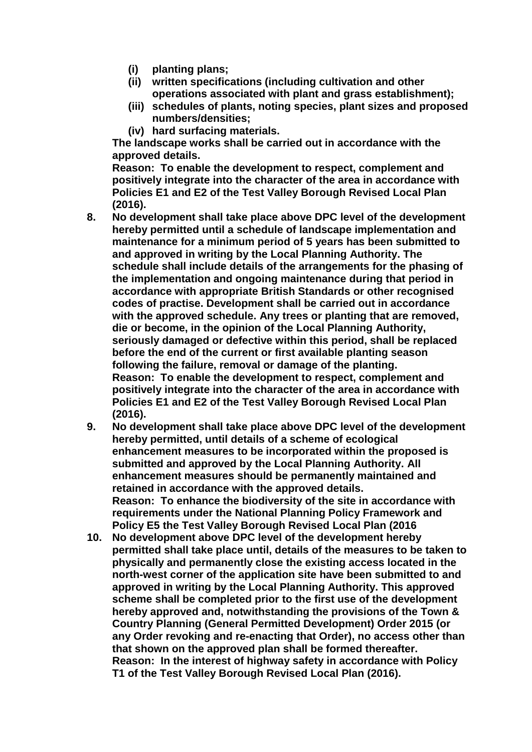- **(i) planting plans;**
- **(ii) written specifications (including cultivation and other operations associated with plant and grass establishment);**
- **(iii) schedules of plants, noting species, plant sizes and proposed numbers/densities;**
- **(iv) hard surfacing materials.**

**The landscape works shall be carried out in accordance with the approved details.**

**Reason: To enable the development to respect, complement and positively integrate into the character of the area in accordance with Policies E1 and E2 of the Test Valley Borough Revised Local Plan (2016).**

- **8. No development shall take place above DPC level of the development hereby permitted until a schedule of landscape implementation and maintenance for a minimum period of 5 years has been submitted to and approved in writing by the Local Planning Authority. The schedule shall include details of the arrangements for the phasing of the implementation and ongoing maintenance during that period in accordance with appropriate British Standards or other recognised codes of practise. Development shall be carried out in accordance with the approved schedule. Any trees or planting that are removed, die or become, in the opinion of the Local Planning Authority, seriously damaged or defective within this period, shall be replaced before the end of the current or first available planting season following the failure, removal or damage of the planting. Reason: To enable the development to respect, complement and positively integrate into the character of the area in accordance with Policies E1 and E2 of the Test Valley Borough Revised Local Plan (2016).**
- **9. No development shall take place above DPC level of the development hereby permitted, until details of a scheme of ecological enhancement measures to be incorporated within the proposed is submitted and approved by the Local Planning Authority. All enhancement measures should be permanently maintained and retained in accordance with the approved details. Reason: To enhance the biodiversity of the site in accordance with requirements under the National Planning Policy Framework and Policy E5 the Test Valley Borough Revised Local Plan (2016**
- **10. No development above DPC level of the development hereby permitted shall take place until, details of the measures to be taken to physically and permanently close the existing access located in the north-west corner of the application site have been submitted to and approved in writing by the Local Planning Authority. This approved scheme shall be completed prior to the first use of the development hereby approved and, notwithstanding the provisions of the Town & Country Planning (General Permitted Development) Order 2015 (or any Order revoking and re-enacting that Order), no access other than that shown on the approved plan shall be formed thereafter. Reason: In the interest of highway safety in accordance with Policy T1 of the Test Valley Borough Revised Local Plan (2016).**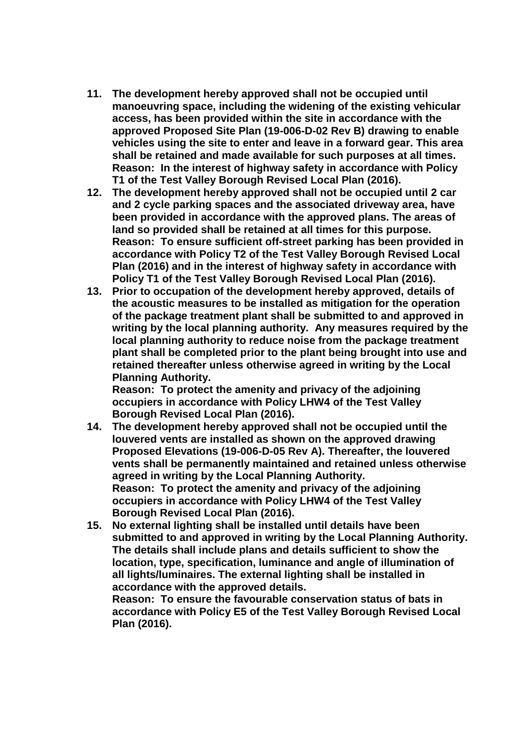- **11. The development hereby approved shall not be occupied until manoeuvring space, including the widening of the existing vehicular access, has been provided within the site in accordance with the approved Proposed Site Plan (19-006-D-02 Rev B) drawing to enable vehicles using the site to enter and leave in a forward gear. This area shall be retained and made available for such purposes at all times. Reason: In the interest of highway safety in accordance with Policy T1 of the Test Valley Borough Revised Local Plan (2016).**
- **12. The development hereby approved shall not be occupied until 2 car and 2 cycle parking spaces and the associated driveway area, have been provided in accordance with the approved plans. The areas of land so provided shall be retained at all times for this purpose. Reason: To ensure sufficient off-street parking has been provided in accordance with Policy T2 of the Test Valley Borough Revised Local Plan (2016) and in the interest of highway safety in accordance with Policy T1 of the Test Valley Borough Revised Local Plan (2016).**
- **13. Prior to occupation of the development hereby approved, details of the acoustic measures to be installed as mitigation for the operation of the package treatment plant shall be submitted to and approved in writing by the local planning authority. Any measures required by the local planning authority to reduce noise from the package treatment plant shall be completed prior to the plant being brought into use and retained thereafter unless otherwise agreed in writing by the Local Planning Authority.**

**Reason: To protect the amenity and privacy of the adjoining occupiers in accordance with Policy LHW4 of the Test Valley Borough Revised Local Plan (2016).**

- **14. The development hereby approved shall not be occupied until the louvered vents are installed as shown on the approved drawing Proposed Elevations (19-006-D-05 Rev A). Thereafter, the louvered vents shall be permanently maintained and retained unless otherwise agreed in writing by the Local Planning Authority. Reason: To protect the amenity and privacy of the adjoining occupiers in accordance with Policy LHW4 of the Test Valley Borough Revised Local Plan (2016).**
- **15. No external lighting shall be installed until details have been submitted to and approved in writing by the Local Planning Authority. The details shall include plans and details sufficient to show the location, type, specification, luminance and angle of illumination of all lights/luminaires. The external lighting shall be installed in accordance with the approved details.**

**Reason: To ensure the favourable conservation status of bats in accordance with Policy E5 of the Test Valley Borough Revised Local Plan (2016).**